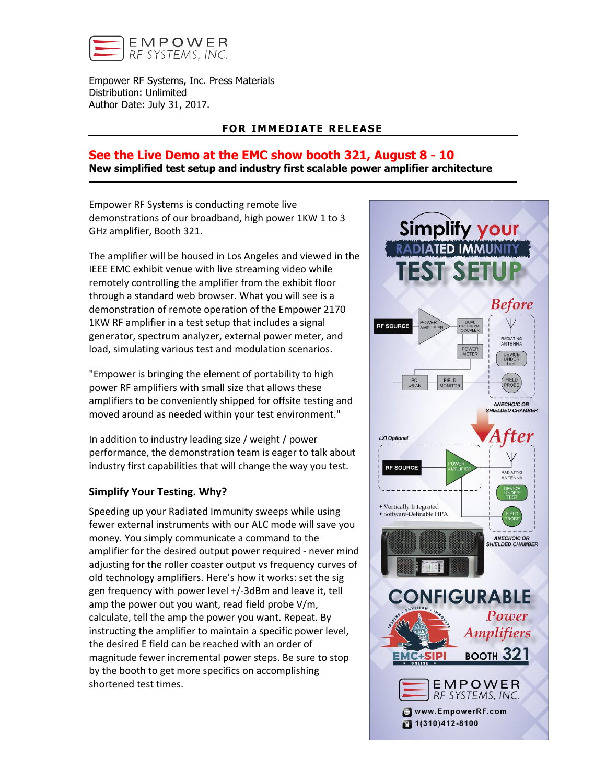

Empower RF Systems, Inc. Press Materials Distribution: Unlimited Author Date: July 31, 2017.

## **FOR IMMEDIATE RELEASE**

## **See the Live Demo at the EMC show booth 321, August 8 - 10 New simplified test setup and industry first scalable power amplifier architecture**

Empower RF Systems is conducting remote live demonstrations of our broadband, high power 1KW 1 to 3 GHz amplifier, Booth 321.

The amplifier will be housed in Los Angeles and viewed in the IEEE EMC exhibit venue with live streaming video while remotely controlling the amplifier from the exhibit floor through a standard web browser. What you will see is a demonstration of remote operation of the Empower 2170 1KW RF amplifier in a test setup that includes a signal generator, spectrum analyzer, external power meter, and load, simulating various test and modulation scenarios.

"Empower is bringing the element of portability to high power RF amplifiers with small size that allows these amplifiers to be conveniently shipped for offsite testing and moved around as needed within your test environment."

In addition to industry leading size / weight / power performance, the demonstration team is eager to talk about industry first capabilities that will change the way you test.

## **Simplify Your Testing. Why?**

Speeding up your Radiated Immunity sweeps while using fewer external instruments with our ALC mode will save you money. You simply communicate a command to the amplifier for the desired output power required - never mind adjusting for the roller coaster output vs frequency curves of old technology amplifiers. Here's how it works: set the sig gen frequency with power level +/-3dBm and leave it, tell amp the power out you want, read field probe V/m, calculate, tell the amp the power you want. Repeat. By instructing the amplifier to maintain a specific power level, the desired E field can be reached with an order of magnitude fewer incremental power steps. Be sure to stop by the booth to get more specifics on accomplishing shortened test times.